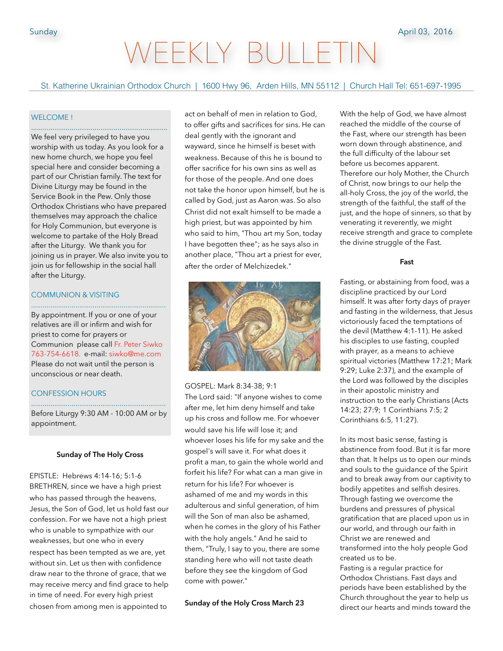# VEEKLY BULLET

St. Katherine Ukrainian Orthodox Church | 1600 Hwy 96, Arden Hills, MN 55112 | Church Hall Tel: 651-697-1995

## WELCOME !

We feel very privileged to have you worship with us today. As you look for a new home church, we hope you feel special here and consider becoming a part of our Christian family. The text for Divine Liturgy may be found in the Service Book in the Pew. Only those Orthodox Christians who have prepared themselves may approach the chalice for Holy Communion, but everyone is welcome to partake of the Holy Bread after the Liturgy. We thank you for joining us in prayer. We also invite you to join us for fellowship in the social hall after the Liturgy.

.......................................................................

#### COMMUNION & VISITING ......................................................................

By appointment. If you or one of your relatives are ill or infirm and wish for priest to come for prayers or Communion please call Fr. Peter Siwko 763-754-6618. e-mail: siwko@me.com Please do not wait until the person is unconscious or near death.

# CONFESSION HOURS

...................................................................... Before Liturgy 9:30 AM - 10:00 AM or by appointment.

#### **Sunday of The Holy Cross**

EPISTLE: Hebrews 4:14-16; 5:1-6 BRETHREN, since we have a high priest who has passed through the heavens, Jesus, the Son of God, let us hold fast our confession. For we have not a high priest who is unable to sympathize with our weaknesses, but one who in every respect has been tempted as we are, yet without sin. Let us then with confidence draw near to the throne of grace, that we may receive mercy and find grace to help in time of need. For every high priest chosen from among men is appointed to

act on behalf of men in relation to God, to offer gifts and sacrifices for sins. He can deal gently with the ignorant and wayward, since he himself is beset with weakness. Because of this he is bound to offer sacrifice for his own sins as well as for those of the people. And one does not take the honor upon himself, but he is called by God, just as Aaron was. So also Christ did not exalt himself to be made a high priest, but was appointed by him who said to him, "Thou art my Son, today I have begotten thee"; as he says also in another place, "Thou art a priest for ever, after the order of Melchizedek."



GOSPEL: Mark 8:34-38; 9:1 The Lord said: "If anyone wishes to come after me, let him deny himself and take up his cross and follow me. For whoever would save his life will lose it; and whoever loses his life for my sake and the gospel's will save it. For what does it profit a man, to gain the whole world and forfeit his life? For what can a man give in return for his life? For whoever is ashamed of me and my words in this adulterous and sinful generation, of him will the Son of man also be ashamed, when he comes in the glory of his Father with the holy angels." And he said to them, "Truly, I say to you, there are some standing here who will not taste death before they see the kingdom of God come with power."

**Sunday of the Holy Cross March 23**

With the help of God, we have almost reached the middle of the course of the Fast, where our strength has been worn down through abstinence, and the full difficulty of the labour set before us becomes apparent. Therefore our holy Mother, the Church of Christ, now brings to our help the all-holy Cross, the joy of the world, the strength of the faithful, the staff of the just, and the hope of sinners, so that by venerating it reverently, we might receive strength and grace to complete the divine struggle of the Fast.

#### **Fast**

Fasting, or abstaining from food, was a discipline practiced by our Lord himself. It was after forty days of prayer and fasting in the wilderness, that Jesus victoriously faced the temptations of the devil (Matthew 4:1-11). He asked his disciples to use fasting, coupled with prayer, as a means to achieve spiritual victories (Matthew 17:21; Mark 9:29; Luke 2:37), and the example of the Lord was followed by the disciples in their apostolic ministry and instruction to the early Christians (Acts 14:23; 27:9; 1 Corinthians 7:5; 2 Corinthians 6:5, 11:27).

In its most basic sense, fasting is abstinence from food. But it is far more than that. It helps us to open our minds and souls to the guidance of the Spirit and to break away from our captivity to bodily appetites and selfish desires. Through fasting we overcome the burdens and pressures of physical gratification that are placed upon us in our world, and through our faith in Christ we are renewed and transformed into the holy people God created us to be.

Fasting is a regular practice for Orthodox Christians. Fast days and periods have been established by the Church throughout the year to help us direct our hearts and minds toward the